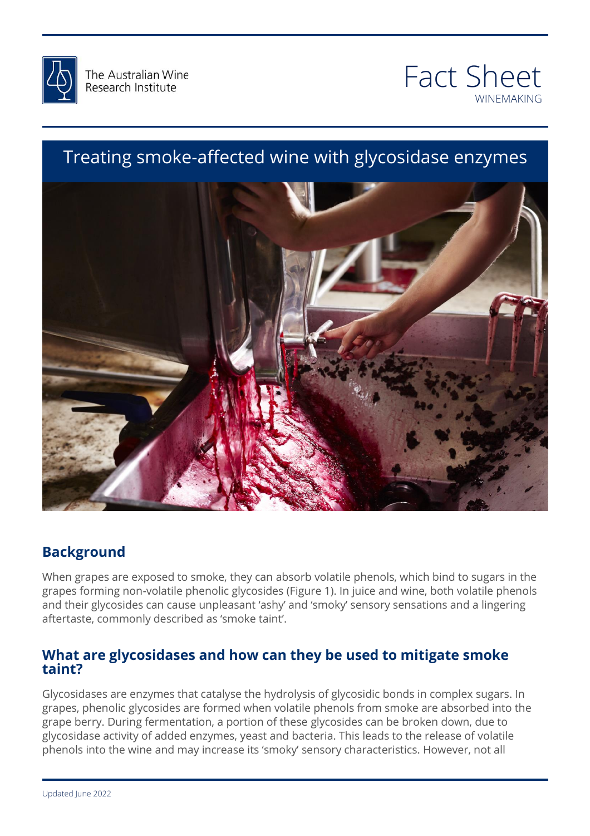



# Treating smoke-affected wine with glycosidase enzymes



## **Background**

When grapes are exposed to smoke, they can absorb volatile phenols, which bind to sugars in the and their glycosides can cause unpleasant 'ashy' and 'smoky' sensory sensations and a lingering<br>aftertaste, commonly described as 'smoke taint'. grapes forming non-volatile phenolic glycosides (Figure 1). In juice and wine, both volatile phenols aftertaste, commonly described as 'smoke taint'.

# What are glycosidases and how can they be used to mitigate smoke<br>taint<sup>2</sup> **taint?**

Glycosidases are enzymes that catalyse the hydrolysis of glycosidic bonds in complex sugars. In grapes, phenolic glycosides are formed when volatile phenols from smoke are absorbed into the grape berry. During fermentation, a portion of these glycosides can be broken down, due to glycosidase activity of added enzymes, yeast and bacteria. This leads to the release of volatile phenols into the wine and may increase its 'smoky' sensory characteristics. However, not all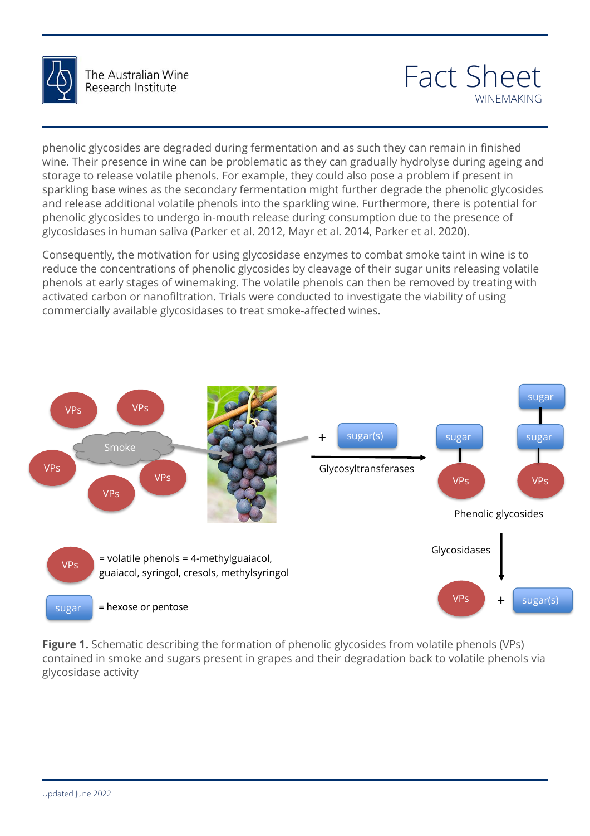

# Fact Sheet WINEMAKING

phenolic glycosides are degraded during fermentation and as such they can remain in finished wine. Their presence in wine can be problematic as they can gradually hydrolyse during ageing and storage to release volatile phenols. For example, they could also pose a problem if present in sparkling base wines as the secondary fermentation might further degrade the phenolic glycosides and release additional volatile phenols into the sparkling wine. Furthermore, there is potential for phenolic glycosides to undergo in-mouth release during consumption due to the presence of glycosidases in human saliva (Parker et al. 2012, Mayr et al. 2014, Parker et al. 2020).

Consequently, the motivation for using glycosidase enzymes to combat smoke taint in wine is to reduce the concentrations of phenolic glycosides by cleavage of their sugar units releasing volatile phenols at early stages of winemaking. The volatile phenols can then be removed by treating with activated carbon or nanofiltration. Trials were conducted to investigate the viability of using commercially available glycosidases to treat smoke-affected wines.



**Figure 1.** Schematic describing the formation of phenolic glycosides from volatile phenols (VPs)<br>contained in smoke and sugars present in grapes and their degradation back to volatile phenols via **Figure 1.** Schematic describing the formation of phenolic glycosides from volatile phenols (VPs) glycosidase activity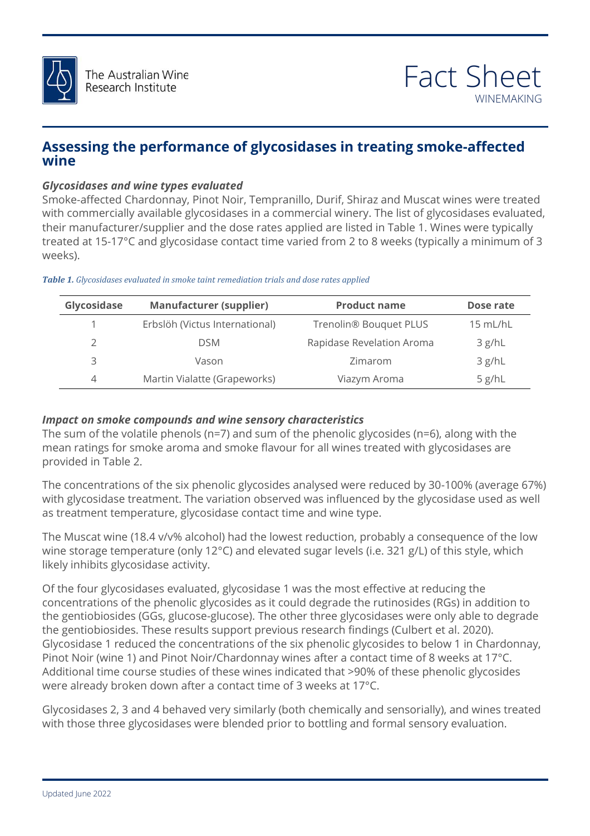

### **Assessing the performance of glycosidases in treating smoke-affected wine**

#### *Glycosidases and wine types evaluated*

Smoke-affected Chardonnay, Pinot Noir, Tempranillo, Durif, Shiraz and Muscat wines were treated with commercially available glycosidases in a commercial winery. The list of glycosidases evaluated, their manufacturer/supplier and the dose rates applied are listed in Table 1. Wines were typically treated at 15-17°C and glycosidase contact time varied from 2 to 8 weeks (typically a minimum of 3 weeks).

| Glycosidase    | <b>Manufacturer (supplier)</b> | <b>Product name</b>                | Dose rate  |
|----------------|--------------------------------|------------------------------------|------------|
|                | Erbslöh (Victus International) | Trenolin <sup>®</sup> Bouquet PLUS | $15$ mL/hL |
| $\mathcal{P}$  | <b>DSM</b>                     | Rapidase Revelation Aroma          | 3 g/hL     |
| 3              | Vason                          | Zimarom                            | 3 g/hL     |
| $\overline{4}$ | Martin Vialatte (Grapeworks)   | Viazym Aroma                       | 5 g/hL     |

#### *Table 1. Glycosidases evaluated in smoke taint remediation trials and dose rates applied*

#### *Impact on smoke compounds and wine sensory characteristics*

the anything for smoke aroma and smoke flavour for all wines treated with glycosidases are<br>provided in Table 2. The sum of the volatile phenols (n=7) and sum of the phenolic glycosides (n=6), along with the provided in Table 2.

The concentrations of the six phenolic glycosides analysed were reduced by 30-100% (average 67%)<br>with glycosidase treatment. The variation observed was influenced by the glycosidase used as well with glycosidase treatment. The variation observed was influenced by the glycosidase used as well as treatment temperature, glycosidase contact time and wine type.

The Muscat wine (18.4 v/v% alcohol) had the lowest reduction, probably a consequence of the low wine storage temperature (only 12°C) and elevated sugar levels (i.e. 321 g/L) of this style, which likely inhibits glycosidase activity.

likely inhibits glycosidase activity.<br>Of the four glycosidases evaluated, glycosidase 1 was the most effective at reducing the concentrations of the phenolic glycosides as it could degrade the rutinosides (RGs) in addition to<br>the gentiobiosides (GGs, glucose-glucose). The other three glycosidases were only able to degrade<br>the gentiobiosides These Glycosidase 1 reduced the concentrations of the six phenolic glycosides to below 1 in Chardonnay,<br>Pinot Noir (wine 1) and Pinot Noir/Chardonnay wines after a contact time of 8 weeks at 17°C.<br>And With Minimum of the state o concentrations of the phenolic glycosides as it could degrade the rutinosides (RGs) in addition to the gentiobiosides. These results support previous research findings (Culbert et al. 2020). Pinot Noir (wine 1) and Pinot Noir/Chardonnay wines after a contact time of 8 weeks at 17°C. Additional time course studies of these wines indicated that >90% of these phenolic glycosides were already broken down after a contact time of 3 weeks at 17°C.

Glycosidases 2, 3 and 4 behaved very similarly (both chemically and sensorially), and wines treated with those three glycosidases were blended prior to bottling and formal sensory evaluation.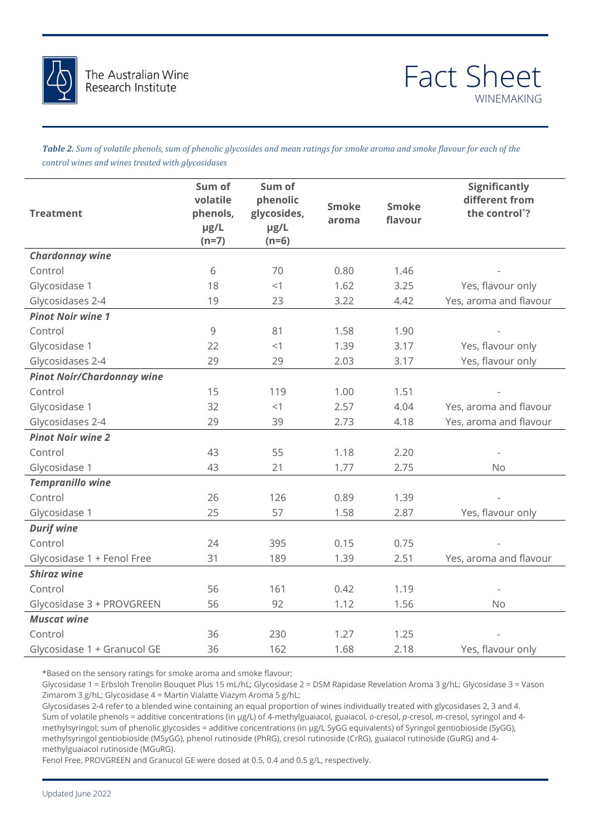

*Table 2. Sum of volatile phenols, sum of phenolic glycosides and mean ratings for smoke aroma and smoke flavour for each of the control wines and wines treated with glycosidases*

| <b>Treatment</b>                  | Sum of<br>volatile<br>phenols,<br>µg/L<br>$(n=7)$ | Sum of<br>phenolic<br>glycosides,<br>µg/L<br>$(n=6)$ | <b>Smoke</b><br>aroma | <b>Smoke</b><br>flavour | <b>Significantly</b><br>different from<br>the control*? |
|-----------------------------------|---------------------------------------------------|------------------------------------------------------|-----------------------|-------------------------|---------------------------------------------------------|
| <b>Chardonnay wine</b>            |                                                   |                                                      |                       |                         |                                                         |
| Control                           | 6                                                 | 70                                                   | 0.80                  | 1.46                    |                                                         |
| Glycosidase 1                     | 18                                                | <1                                                   | 1.62                  | 3.25                    | Yes, flavour only                                       |
| Glycosidases 2-4                  | 19                                                | 23                                                   | 3.22                  | 4.42                    | Yes, aroma and flavour                                  |
| <b>Pinot Noir wine 1</b>          |                                                   |                                                      |                       |                         |                                                         |
| Control                           | 9                                                 | 81                                                   | 1.58                  | 1.90                    |                                                         |
| Glycosidase 1                     | 22                                                | <1                                                   | 1.39                  | 3.17                    | Yes, flavour only                                       |
| Glycosidases 2-4                  | 29                                                | 29                                                   | 2.03                  | 3.17                    | Yes, flavour only                                       |
| <b>Pinot Noir/Chardonnay wine</b> |                                                   |                                                      |                       |                         |                                                         |
| Control                           | 15                                                | 119                                                  | 1.00                  | 1.51                    |                                                         |
| Glycosidase 1                     | 32                                                | <1                                                   | 2.57                  | 4.04                    | Yes, aroma and flavour                                  |
| Glycosidases 2-4                  | 29                                                | 39                                                   | 2.73                  | 4.18                    | Yes, aroma and flavour                                  |
| <b>Pinot Noir wine 2</b>          |                                                   |                                                      |                       |                         |                                                         |
| Control                           | 43                                                | 55                                                   | 1.18                  | 2.20                    |                                                         |
| Glycosidase 1                     | 43                                                | 21                                                   | 1.77                  | 2.75                    | <b>No</b>                                               |
| <b>Tempranillo wine</b>           |                                                   |                                                      |                       |                         |                                                         |
| Control                           | 26                                                | 126                                                  | 0.89                  | 1.39                    |                                                         |
| Glycosidase 1                     | 25                                                | 57                                                   | 1.58                  | 2.87                    | Yes, flavour only                                       |
| <b>Durif wine</b>                 |                                                   |                                                      |                       |                         |                                                         |
| Control                           | 24                                                | 395                                                  | 0.15                  | 0.75                    |                                                         |
| Glycosidase 1 + Fenol Free        | 31                                                | 189                                                  | 1.39                  | 2.51                    | Yes, aroma and flavour                                  |
| <b>Shiraz wine</b>                |                                                   |                                                      |                       |                         |                                                         |
| Control                           | 56                                                | 161                                                  | 0.42                  | 1.19                    |                                                         |
| Glycosidase 3 + PROVGREEN         | 56                                                | 92                                                   | 1.12                  | 1.56                    | <b>No</b>                                               |
| <b>Muscat wine</b>                |                                                   |                                                      |                       |                         |                                                         |
| Control                           | 36                                                | 230                                                  | 1.27                  | 1.25                    |                                                         |
| Glycosidase 1 + Granucol GE       | 36                                                | 162                                                  | 1.68                  | 2.18                    | Yes, flavour only                                       |
|                                   |                                                   |                                                      |                       |                         |                                                         |

\*Based on the sensory ratings for smoke aroma and smoke flavour;

Glycosidase 1 = Erbsloh Trenolin Bouquet Plus 15 mL/hL; Glycosidase 2 = DSM Rapidase Revelation Aroma 3 g/hL; Glycosidase 3 = Vason Zimarom 3 g/hL; Glycosidase 4 = Martin Vialatte Viazym Aroma 5 g/hL;

Glycosidases 2-4 refer to a blended wine containing an equal proportion of wines individually treated with glycosidases 2, 3 and 4. Sum of volatile phenols = additive concentrations (in µg/L) of 4-methylguaiacol, guaiacol, *o*-cresol, *p*-cresol, *m*-cresol, syringol and 4 methylsyringol; sum of phenolic glycosides = additive concentrations (in µg/L SyGG equivalents) of Syringol gentiobioside (SyGG), methylsyringol gentiobioside (MSyGG), phenol rutinoside (PhRG), cresol rutinoside (CrRG), guaiacol rutinoside (GuRG) and 4 methylguaiacol rutinoside (MGuRG).

Fenol Free, PROVGREEN and Granucol GE were dosed at 0.5, 0.4 and 0.5 g/L, respectively.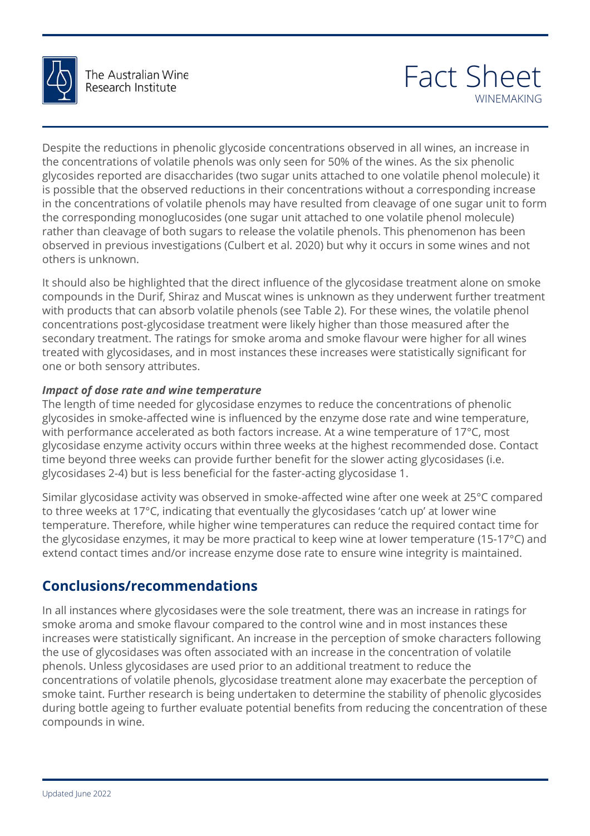

# Fact Sheet WINEMAKING

Despite the reductions in phenolic glycoside concentrations observed in all wines, an increase in the concentrations of volatile phenols was only seen for 50% of the wines. As the six phenolic glycosides reported are disaccharides (two sugar units attached to one volatile phenol molecule) it is possible that the observed reductions in their concentrations without a corresponding increase in the concentrations of volatile phenols may have resulted from cleavage of one sugar unit to form the corresponding monoglucosides (one sugar unit attached to one volatile phenol molecule) rather than cleavage of both sugars to release the volatile phenols. This phenomenon has been observed in previous investigations (Culbert et al. 2020) but why it occurs in some wines and not others is unknown.

concentrations post-glycosidase treatment were likely higher than those measured after the<br>secondary treatment. The ratings for smoke aroma and smoke flavour were higher for all wines  $\frac{1}{2}$ It should also be highlighted that the direct influence of the glycosidase treatment alone on smoke compounds in the Durif, Shiraz and Muscat wines is unknown as they underwent further treatment with products that can absorb volatile phenols (see Table 2). For these wines, the volatile phenol secondary treatment. The ratings for smoke aroma and smoke flavour were higher for all wines treated with glycosidases, and in most instances these increases were statistically significant for one or both sensory attributes.

#### *Impact of dose rate and wine temperature*

The length of time needed for glycosidase enzymes to reduce the concentrations of phenolic<br>glycosides in smoke-affected wine is influenced by the enzyme dose rate and wine temperature, glycosidase enzyme activity occurs within three weeks at the highest recommended dose. Contact<br>time beyond three weeks can provide further benefit for the slower acting glycosidases (i.e. The length of time needed for glycosidase enzymes to reduce the concentrations of phenolic with performance accelerated as both factors increase. At a wine temperature of 17°C, most time beyond three weeks can provide further benefit for the slower acting glycosidases (i.e. glycosidases 2-4) but is less beneficial for the faster-acting glycosidase 1.

else that we can be can that we can be called that we can be called that wine similar glycosidase activity was observed in smoke-affected wine after one week at 25°C compared temperature. Therefore, while higher wine temperatures can reduce the required contact time for<br>the glycosidase enzymes, it may be more practical to keep wine at lower temperature (15-17°C) and need before the to three weeks at 17°C, indicating that eventually the glycosidases 'catch up' at lower wine temperature. Therefore, while higher wine temperatures can reduce the required contact time for extend contact times and/or increase enzyme dose rate to ensure wine integrity is maintained.

## **Conclusions/recommendations**

In all instances where glycosidases were the sole treatment, there was an increase in ratings for<br>smoke aroma and smoke flavour compared to the control wine and in most instances these mercases were statistically significant. An increase in the perception of smoke characters following<br>the use of glycosidases was often associated with an increase in the concentration of volatile<br>phenols. Unless glycosidas smoke aroma and smoke flavour compared to the control wine and in most instances these increases were statistically significant. An increase in the perception of smoke characters following phenols. Unless glycosidases are used prior to an additional treatment to reduce the concentrations of volatile phenols, glycosidase treatment alone may exacerbate the perception of smoke taint. Further research is being undertaken to determine the stability of phenolic glycosides during bottle ageing to further evaluate potential benefits from reducing the concentration of these compounds in wine.